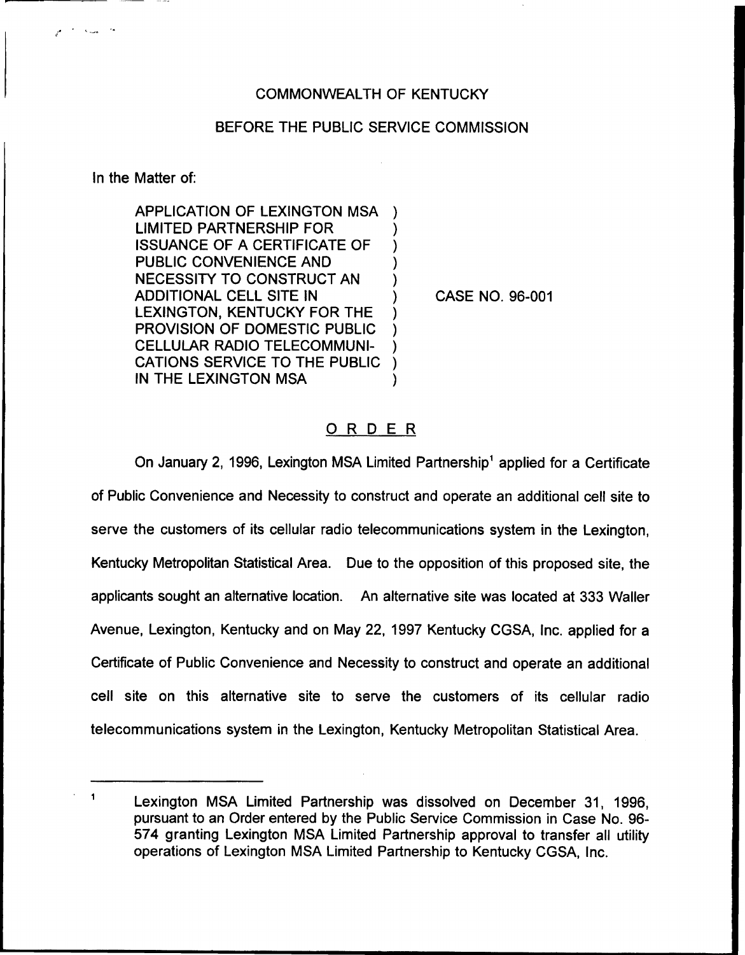## COMMONWEALTH OF KENTUCKY

## BEFORE THE PUBLIC SERVICE COMMISSION

In the Matter of:

محاسبته أحمامهم

APPLICATION OF LEXINGTON MSA LIMITED PARTNERSHIP FOR ISSUANCE OF A CERTIFICATE OF PUBLIC CONVENIENCE AND NECESSITY TO CONSTRUCT AN ADDITIONAL CELL SITE IN LEXINGTON, KENTUCKY FOR THE PROVISION OF DOMESTIC PUBLIC CELLULAR RADIO TELECOMMUNI-CATIONS SERVICE TO THE PUBLIC IN THE LEXINGTON MSA ) ) ) ) ) ) ) ) ) )

) CASE NO. 96-001

## ORDER

On January 2, 1996, Lexington MSA Limited Partnership<sup>1</sup> applied for a Certificate of Public Convenience and Necessity to construct and operate an additional cell site to serve the customers of its cellular radio telecommunications system in the Lexington, Kentucky Metropolitan Statistical Area. Due to the opposition of this proposed site, the applicants sought an alternative location. An alternative site was located at 333 Wailer Avenue, Lexington, Kentucky and on May 22, 1997 Kentucky CGSA, Inc. applied for a Certificate of Public Convenience and Necessity to construct and operate an additional cell site on this alternative site to serve the customers of its cellular radio telecommunications system in the Lexington, Kentucky Metropolitan Statistical Area.

 $\mathbf{1}$ Lexington MSA Limited Partnership was dissolved on December 31, 1996, pursuant to an Order entered by the Public Service Commission in Case No. 96- 574 granting Lexington MSA Limited Partnership approval to transfer all utility operations of Lexington MSA Limited Partnership to Kentucky CGSA, Inc.